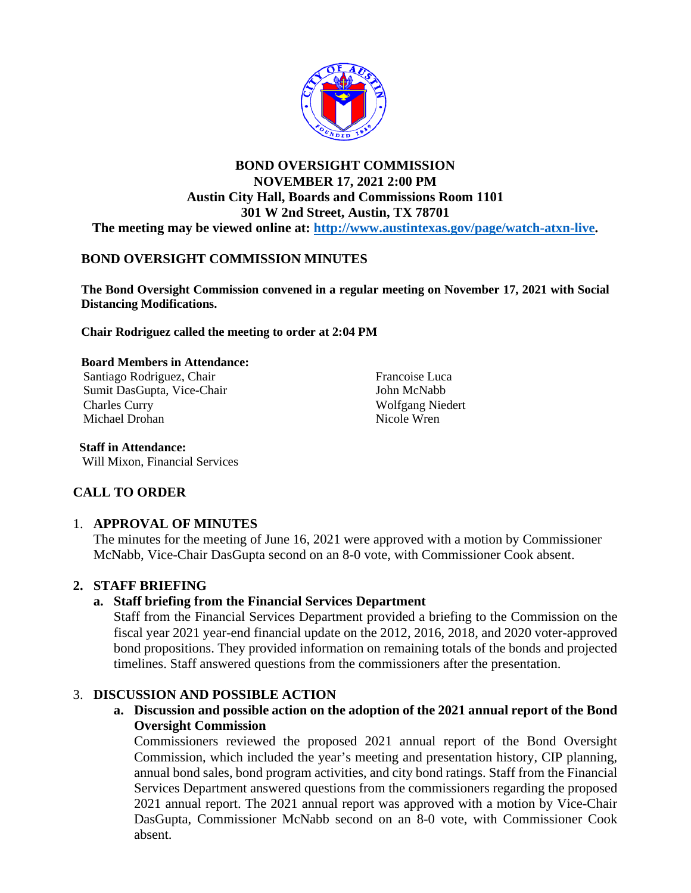

## **BOND OVERSIGHT COMMISSION NOVEMBER 17, 2021 2:00 PM Austin City Hall, Boards and Commissions Room 1101 301 W 2nd Street, Austin, TX 78701 The meeting may be viewed online at: [http://www.austintexas.gov/page/watch-atxn-live.](http://www.austintexas.gov/page/watch-atxn-live)**

# **BOND OVERSIGHT COMMISSION MINUTES**

**The Bond Oversight Commission convened in a regular meeting on November 17, 2021 with Social Distancing Modifications.**

**Chair Rodriguez called the meeting to order at 2:04 PM**

#### **Board Members in Attendance:**

Santiago Rodriguez, Chair Sumit DasGupta, Vice-Chair Charles Curry Michael Drohan

Francoise Luca John McNabb Wolfgang Niedert Nicole Wren

**Staff in Attendance:** Will Mixon, Financial Services

# **CALL TO ORDER**

### 1. **APPROVAL OF MINUTES**

The minutes for the meeting of June 16, 2021 were approved with a motion by Commissioner McNabb, Vice-Chair DasGupta second on an 8-0 vote, with Commissioner Cook absent.

## **2. STAFF BRIEFING**

### **a. Staff briefing from the Financial Services Department**

Staff from the Financial Services Department provided a briefing to the Commission on the fiscal year 2021 year-end financial update on the 2012, 2016, 2018, and 2020 voter-approved bond propositions. They provided information on remaining totals of the bonds and projected timelines. Staff answered questions from the commissioners after the presentation.

### 3. **DISCUSSION AND POSSIBLE ACTION**

**a. Discussion and possible action on the adoption of the 2021 annual report of the Bond Oversight Commission**

Commissioners reviewed the proposed 2021 annual report of the Bond Oversight Commission, which included the year's meeting and presentation history, CIP planning, annual bond sales, bond program activities, and city bond ratings. Staff from the Financial Services Department answered questions from the commissioners regarding the proposed 2021 annual report. The 2021 annual report was approved with a motion by Vice-Chair DasGupta, Commissioner McNabb second on an 8-0 vote, with Commissioner Cook absent.